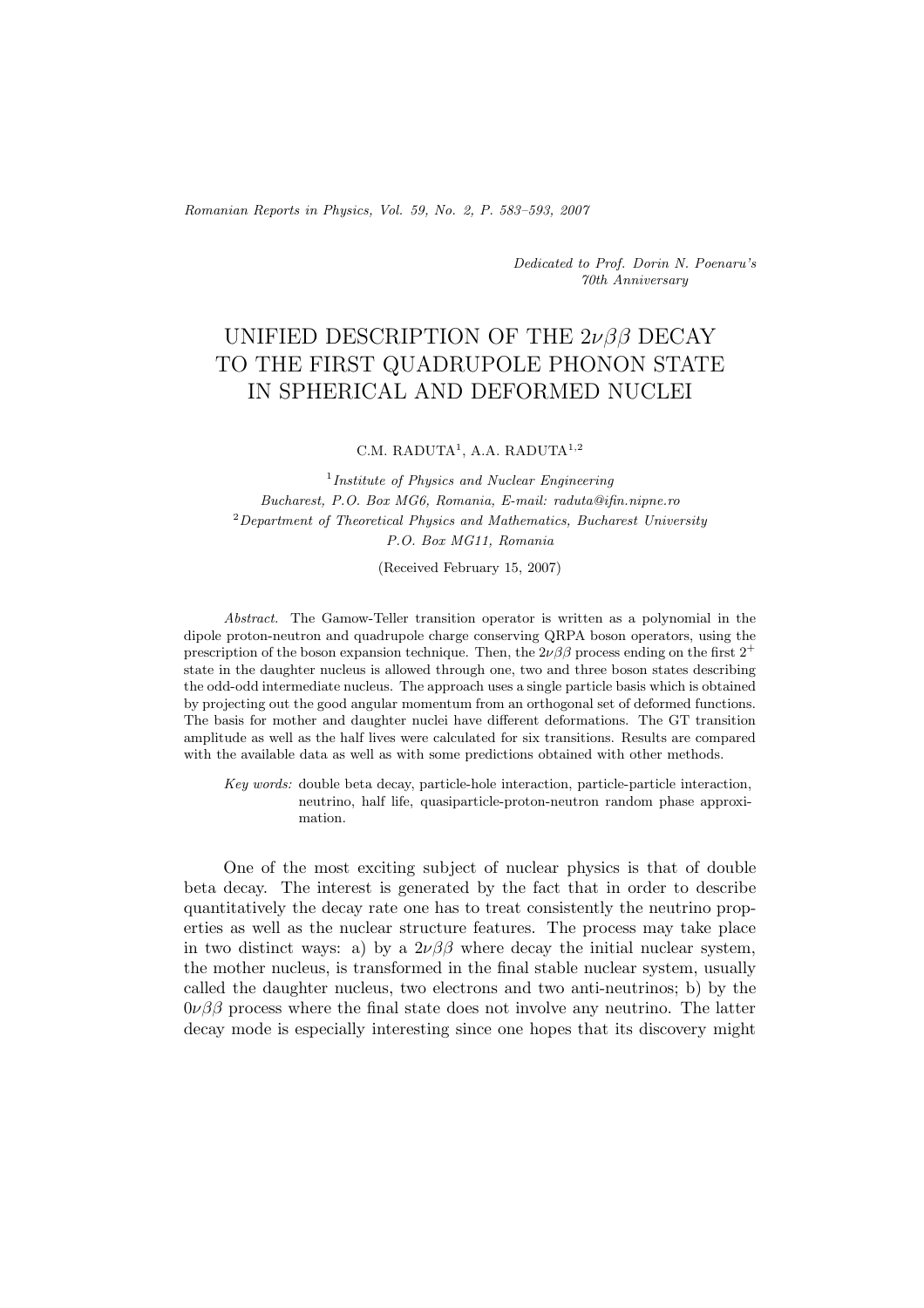*Romanian Reports in Physics, Vol. 59, No. 2, P. 583–593, 2007*

*Dedicated to Prof. Dorin N. Poenaru's 70th Anniversary*

## UNIFIED DESCRIPTION OF THE  $2\nu\beta\beta$  DECAY TO THE FIRST QUADRUPOLE PHONON STATE IN SPHERICAL AND DEFORMED NUCLEI

C.M. RADUTA<sup>1</sup>, A.A. RADUTA<sup>1,2</sup>

<sup>1</sup>*Institute of Physics and Nuclear Engineering Bucharest, P.O. Box MG6, Romania, E-mail: raduta@ifin.nipne.ro* <sup>2</sup>*Department of Theoretical Physics and Mathematics, Bucharest University P.O. Box MG11, Romania*

(Received February 15, 2007)

*Abstract.* The Gamow-Teller transition operator is written as a polynomial in the dipole proton-neutron and quadrupole charge conserving QRPA boson operators, using the prescription of the boson expansion technique. Then, the  $2\nu\beta\beta$  process ending on the first  $2^+$ state in the daughter nucleus is allowed through one, two and three boson states describing the odd-odd intermediate nucleus. The approach uses a single particle basis which is obtained by projecting out the good angular momentum from an orthogonal set of deformed functions. The basis for mother and daughter nuclei have different deformations. The GT transition amplitude as well as the half lives were calculated for six transitions. Results are compared with the available data as well as with some predictions obtained with other methods.

*Key words:* double beta decay, particle-hole interaction, particle-particle interaction, neutrino, half life, quasiparticle-proton-neutron random phase approximation.

One of the most exciting subject of nuclear physics is that of double beta decay. The interest is generated by the fact that in order to describe quantitatively the decay rate one has to treat consistently the neutrino properties as well as the nuclear structure features. The process may take place in two distinct ways: a) by a  $2\nu\beta\beta$  where decay the initial nuclear system, the mother nucleus, is transformed in the final stable nuclear system, usually called the daughter nucleus, two electrons and two anti-neutrinos; b) by the  $0\nu\beta\beta$  process where the final state does not involve any neutrino. The latter decay mode is especially interesting since one hopes that its discovery might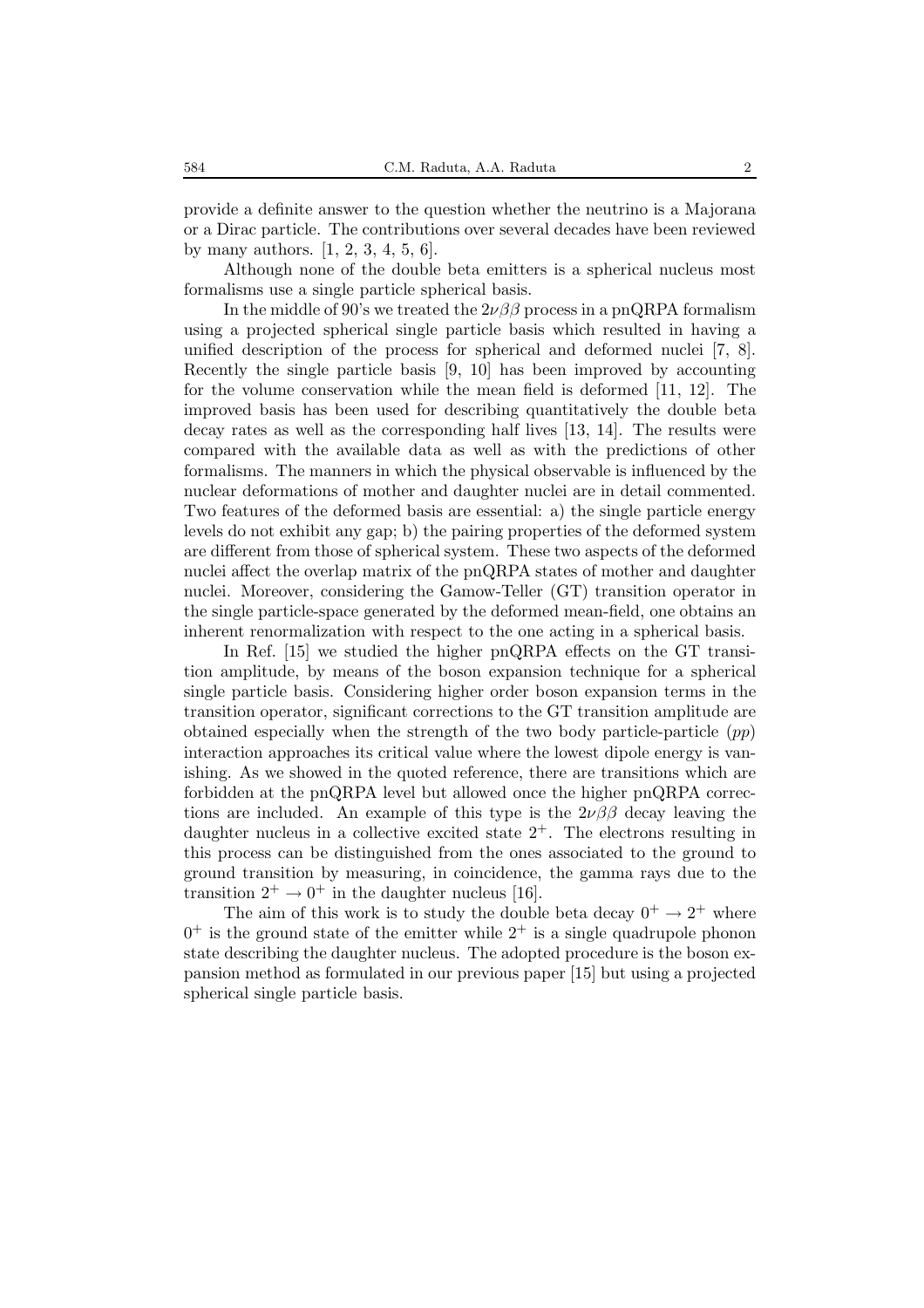provide a definite answer to the question whether the neutrino is a Majorana or a Dirac particle. The contributions over several decades have been reviewed by many authors. [1, 2, 3, 4, 5, 6].

Although none of the double beta emitters is a spherical nucleus most formalisms use a single particle spherical basis.

In the middle of 90's we treated the  $2\nu\beta\beta$  process in a pnQRPA formalism using a projected spherical single particle basis which resulted in having a unified description of the process for spherical and deformed nuclei [7, 8]. Recently the single particle basis [9, 10] has been improved by accounting for the volume conservation while the mean field is deformed [11, 12]. The improved basis has been used for describing quantitatively the double beta decay rates as well as the corresponding half lives [13, 14]. The results were compared with the available data as well as with the predictions of other formalisms. The manners in which the physical observable is influenced by the nuclear deformations of mother and daughter nuclei are in detail commented. Two features of the deformed basis are essential: a) the single particle energy levels do not exhibit any gap; b) the pairing properties of the deformed system are different from those of spherical system. These two aspects of the deformed nuclei affect the overlap matrix of the pnQRPA states of mother and daughter nuclei. Moreover, considering the Gamow-Teller (GT) transition operator in the single particle-space generated by the deformed mean-field, one obtains an inherent renormalization with respect to the one acting in a spherical basis.

In Ref. [15] we studied the higher pnQRPA effects on the GT transition amplitude, by means of the boson expansion technique for a spherical single particle basis. Considering higher order boson expansion terms in the transition operator, significant corrections to the GT transition amplitude are obtained especially when the strength of the two body particle-particle  $(pp)$ interaction approaches its critical value where the lowest dipole energy is vanishing. As we showed in the quoted reference, there are transitions which are forbidden at the pnQRPA level but allowed once the higher pnQRPA corrections are included. An example of this type is the  $2\nu\beta\beta$  decay leaving the daughter nucleus in a collective excited state  $2^+$ . The electrons resulting in this process can be distinguished from the ones associated to the ground to ground transition by measuring, in coincidence, the gamma rays due to the transition  $2^+ \rightarrow 0^+$  in the daughter nucleus [16].

The aim of this work is to study the double beta decay  $0^+ \rightarrow 2^+$  where  $0^+$  is the ground state of the emitter while  $2^+$  is a single quadrupole phonon state describing the daughter nucleus. The adopted procedure is the boson expansion method as formulated in our previous paper [15] but using a projected spherical single particle basis.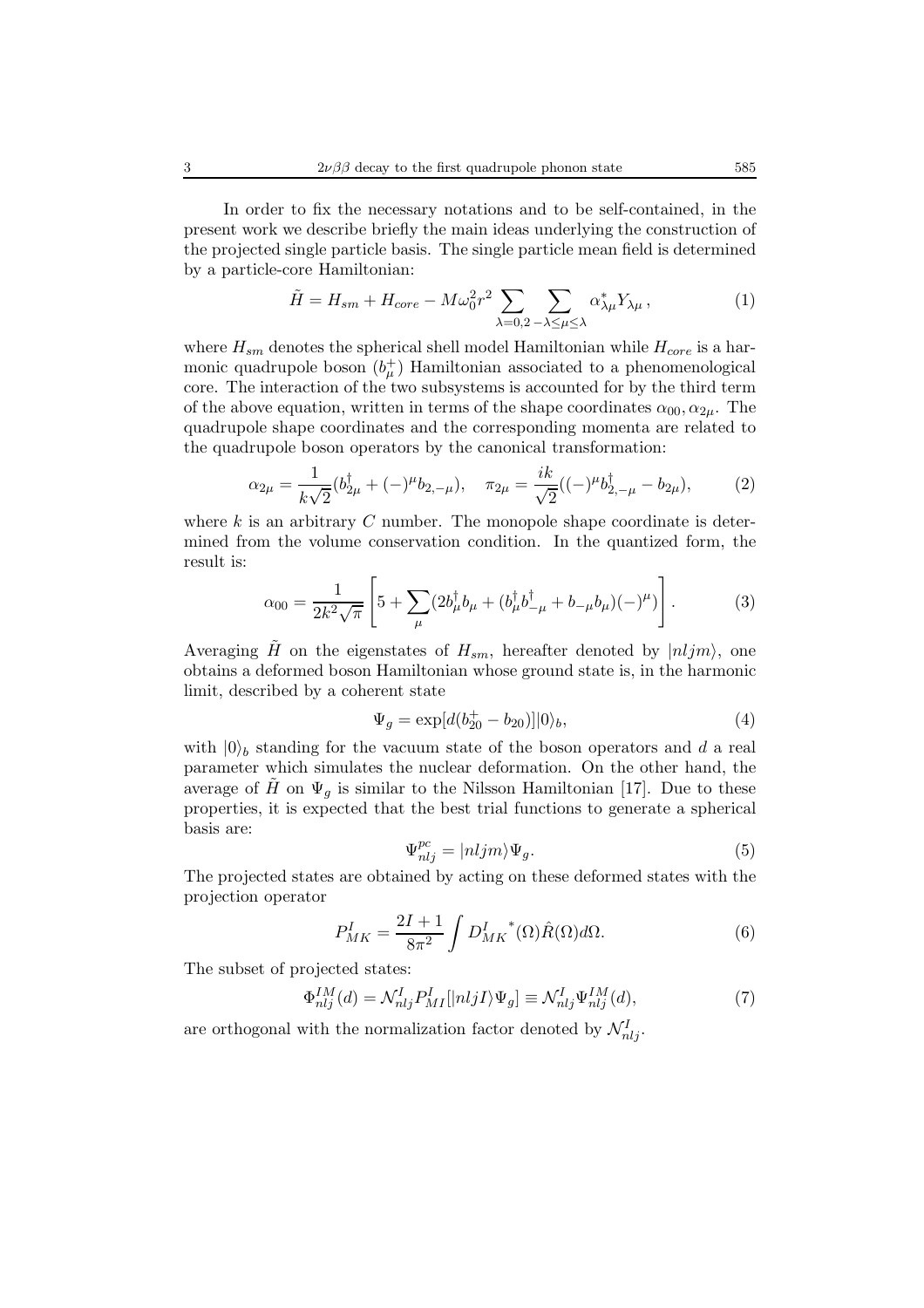In order to fix the necessary notations and to be self-contained, in the present work we describe briefly the main ideas underlying the construction of the projected single particle basis. The single particle mean field is determined by a particle-core Hamiltonian:

$$
\tilde{H} = H_{sm} + H_{core} - M\omega_0^2 r^2 \sum_{\lambda = 0,2} \sum_{-\lambda \le \mu \le \lambda} \alpha_{\lambda\mu}^* Y_{\lambda\mu},\tag{1}
$$

where  $H_{sm}$  denotes the spherical shell model Hamiltonian while  $H_{core}$  is a harmonic quadrupole boson  $(b^+_\mu)$  Hamiltonian associated to a phenomenological<br>core. The interaction of the two subsystems is accounted for by the third term core. The interaction of the two subsystems is accounted for by the third term of the above equation, written in terms of the shape coordinates  $\alpha_{00}, \alpha_{2\mu}$ . The quadrupole shape coordinates and the corresponding momenta are related to the quadrupole boson operators by the canonical transformation:

$$
\alpha_{2\mu} = \frac{1}{k\sqrt{2}} (b_{2\mu}^{\dagger} + (-)^{\mu} b_{2,-\mu}), \quad \pi_{2\mu} = \frac{ik}{\sqrt{2}} ((-)^{\mu} b_{2,-\mu}^{\dagger} - b_{2\mu}), \tag{2}
$$

where  $k$  is an arbitrary  $C$  number. The monopole shape coordinate is determined from the volume conservation condition. In the quantized form, the result is:

$$
\alpha_{00} = \frac{1}{2k^2\sqrt{\pi}} \left[ 5 + \sum_{\mu} (2b_{\mu}^{\dagger}b_{\mu} + (b_{\mu}^{\dagger}b_{-\mu}^{\dagger} + b_{-\mu}b_{\mu})(-)^{\mu}) \right]. \tag{3}
$$

Averaging H on the eigenstates of  $H_{sm}$ , hereafter denoted by  $|nljm\rangle$ , one obtains a deformed boson Hamiltonian whose ground state is, in the harmonic limit, described by a coherent state

$$
\Psi_g = \exp[d(b_{20}^+ - b_{20})]|0\rangle_b,
$$
\n(4)

with  $|0\rangle_b$  standing for the vacuum state of the boson operators and d a real parameter which simulates the nuclear deformation. On the other hand, the average of H on  $\Psi_q$  is similar to the Nilsson Hamiltonian [17]. Due to these properties, it is expected that the best trial functions to generate a spherical basis are:

$$
\Psi_{nlj}^{pc} = |nljm\rangle \Psi_g. \tag{5}
$$

 $\Psi_{nlj}^{pc} = |nljm\rangle \Psi_{g}.$ <br>The projected states are obtained by acting on these deformed states with the projection operator

$$
P_{MK}^{I} = \frac{2I+1}{8\pi^2} \int D_{MK}^{I}^{*}(\Omega) \hat{R}(\Omega) d\Omega.
$$
 (6)

The subset of projected states:

$$
\Phi_{nlj}^{IM}(d) = \mathcal{N}_{nlj}^{I} P_{MI}^{I}[|nljI\rangle \Psi_{g}] \equiv \mathcal{N}_{nlj}^{I} \Psi_{nlj}^{IM}(d),\tag{7}
$$

are orthogonal with the normalization factor denoted by  $\mathcal{N}_{nlj}^I$ .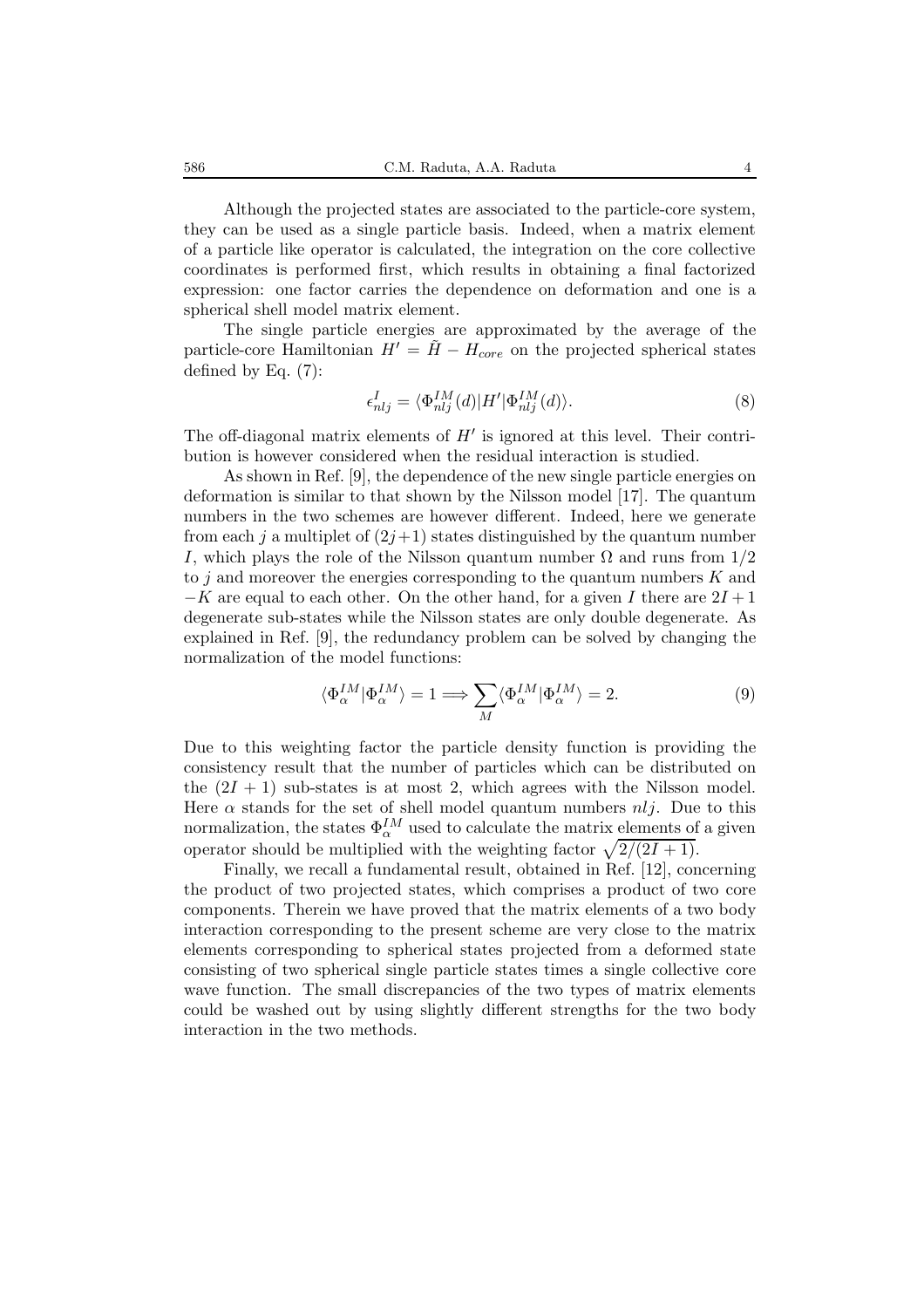Although the projected states are associated to the particle-core system, they can be used as a single particle basis. Indeed, when a matrix element of a particle like operator is calculated, the integration on the core collective coordinates is performed first, which results in obtaining a final factorized expression: one factor carries the dependence on deformation and one is a spherical shell model matrix element.

The single particle energies are approximated by the average of the particle-core Hamiltonian  $H' = \tilde{H} - H_{core}$  on the projected spherical states defined by Eq. (7):

$$
\epsilon_{nlj}^{I} = \langle \Phi_{nlj}^{IM}(d) | H' | \Phi_{nlj}^{IM}(d) \rangle. \tag{8}
$$

The off-diagonal matrix elements of  $H'$  is ignored at this level. Their contribution is however considered when the residual interaction is studied.

As shown in Ref. [9], the dependence of the new single particle energies on deformation is similar to that shown by the Nilsson model [17]. The quantum numbers in the two schemes are however different. Indeed, here we generate from each j a multiplet of  $(2j+1)$  states distinguished by the quantum number I, which plays the role of the Nilsson quantum number  $\Omega$  and runs from  $1/2$ to  $j$  and moreover the energies corresponding to the quantum numbers  $K$  and  $-K$  are equal to each other. On the other hand, for a given I there are  $2I + 1$ degenerate sub-states while the Nilsson states are only double degenerate. As explained in Ref. [9], the redundancy problem can be solved by changing the normalization of the model functions:

$$
\langle \Phi_{\alpha}^{IM} | \Phi_{\alpha}^{IM} \rangle = 1 \Longrightarrow \sum_{M} \langle \Phi_{\alpha}^{IM} | \Phi_{\alpha}^{IM} \rangle = 2. \tag{9}
$$

Due to this weighting factor the particle density function is providing the consistency result that the number of particles which can be distributed on the  $(2I + 1)$  sub-states is at most 2, which agrees with the Nilsson model. Here  $\alpha$  stands for the set of shell model quantum numbers  $nlj$ . Due to this normalization, the states  $\Phi_{\alpha}^{I,M}$  used to calculate the matrix elements of a given<br>converter should be multiplied with the weighting factor  $\sqrt{2/(2I+1)}$ operator should be multiplied with the weighting factor  $\sqrt{2/(2I+1)}$ .

Finally, we recall a fundamental result, obtained in Ref. [12], concerning the product of two projected states, which comprises a product of two core components. Therein we have proved that the matrix elements of a two body interaction corresponding to the present scheme are very close to the matrix elements corresponding to spherical states projected from a deformed state consisting of two spherical single particle states times a single collective core wave function. The small discrepancies of the two types of matrix elements could be washed out by using slightly different strengths for the two body interaction in the two methods.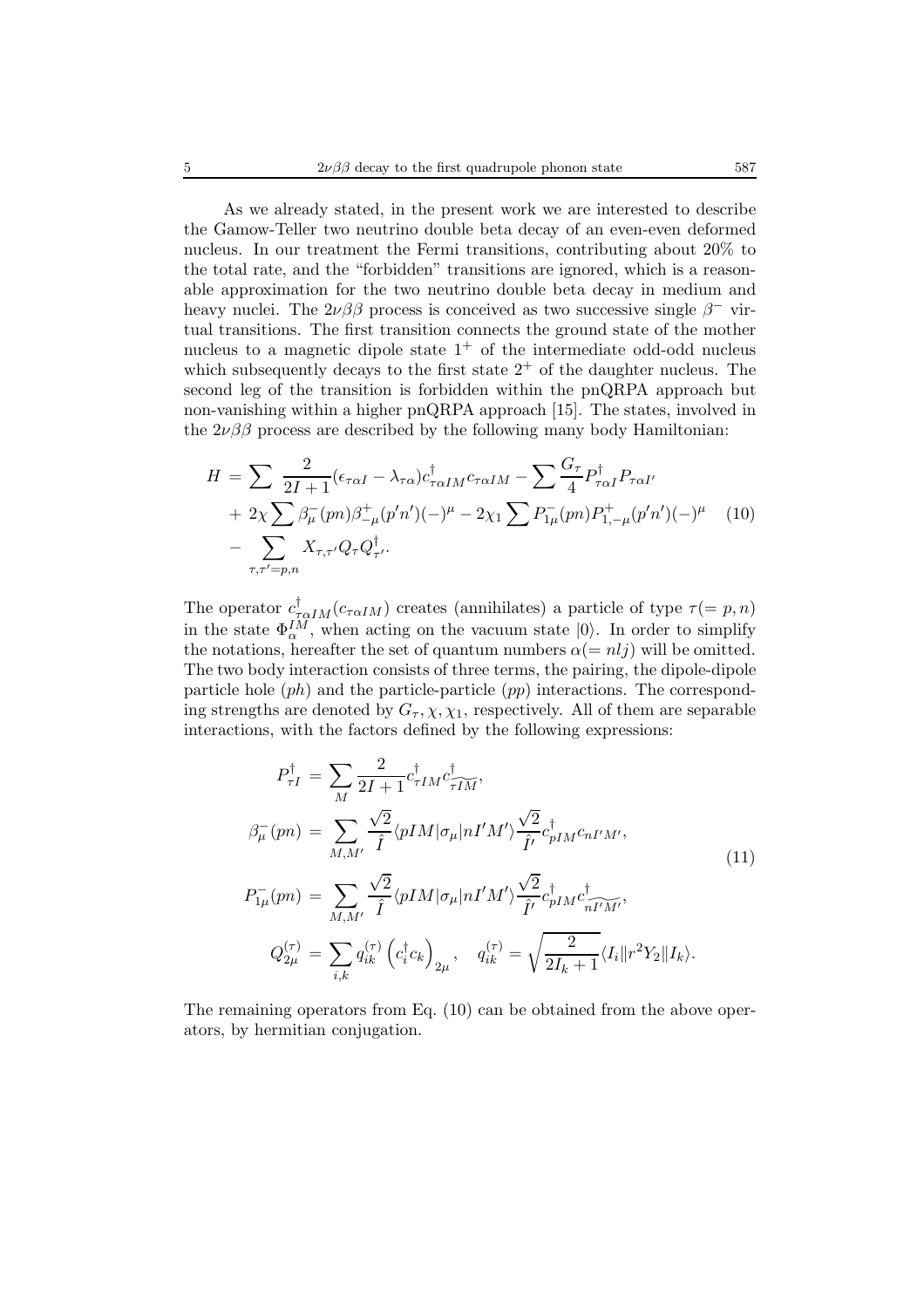As we already stated, in the present work we are interested to describe the Gamow-Teller two neutrino double beta decay of an even-even deformed nucleus. In our treatment the Fermi transitions, contributing about 20% to the total rate, and the "forbidden" transitions are ignored, which is a reasonable approximation for the two neutrino double beta decay in medium and heavy nuclei. The  $2\nu\beta\beta$  process is conceived as two successive single  $\beta^-$  virtual transitions. The first transition connects the ground state of the mother nucleus to a magnetic dipole state  $1^+$  of the intermediate odd-odd nucleus which subsequently decays to the first state  $2^+$  of the daughter nucleus. The second leg of the transition is forbidden within the pnQRPA approach but non-vanishing within a higher pnQRPA approach [15]. The states, involved in the  $2\nu\beta\beta$  process are described by the following many body Hamiltonian:

$$
H = \sum \frac{2}{2I+1} (\epsilon_{\tau\alpha I} - \lambda_{\tau\alpha}) c_{\tau\alpha IM}^{\dagger} c_{\tau\alpha IM} - \sum \frac{G_{\tau}}{4} P_{\tau\alpha I}^{\dagger} P_{\tau\alpha I'} + 2\chi \sum \beta_{\mu}^{-} (pn) \beta_{-\mu}^{+} (p'n') (-)^{\mu} - 2\chi_{1} \sum P_{1\mu}^{-} (pn) P_{1,-\mu}^{+} (p'n') (-)^{\mu} \quad (10) - \sum_{\tau,\tau'=p,n} X_{\tau,\tau'} Q_{\tau} Q_{\tau'}^{\dagger}.
$$

The operator  $c_{\tau\alpha IM}^{\dagger}(c_{\tau\alpha IM})$  creates (annihilates) a particle of type  $\tau(= p, n)$ <br>in the state  $\Phi_{\alpha}^{IM}$ , when acting on the vacuum state  $|0\rangle$ . In order to simplify<br>the notations hereafter the set of quantum nu the notations, hereafter the set of quantum numbers  $\alpha(=nlj)$  will be omitted. The two body interaction consists of three terms, the pairing, the dipole-dipole particle hole  $(ph)$  and the particle-particle  $(pp)$  interactions. The corresponding strengths are denoted by  $G_{\tau}$ ,  $\chi$ ,  $\chi$ <sub>1</sub>, respectively. All of them are separable interactions, with the factors defined by the following expressions:

$$
P_{\tau I}^{\dagger} = \sum_{M} \frac{2}{2I+1} c_{\tau IM}^{\dagger} c_{\tau IM}^{\dagger},
$$
  
\n
$$
\beta_{\mu}^{-}(pn) = \sum_{M,M'} \frac{\sqrt{2}}{\hat{I}} \langle pIM|\sigma_{\mu}|nI'M'\rangle \frac{\sqrt{2}}{\hat{I}'} c_{pIM}^{\dagger} c_{nI'M'},
$$
  
\n
$$
P_{1\mu}^{-}(pn) = \sum_{M,M'} \frac{\sqrt{2}}{\hat{I}} \langle pIM|\sigma_{\mu}|nI'M'\rangle \frac{\sqrt{2}}{\hat{I}'} c_{pIM}^{\dagger} c_{nI'M'}^{\dagger},
$$
  
\n
$$
Q_{2\mu}^{(\tau)} = \sum_{i,k} q_{ik}^{(\tau)} (c_{i}^{\dagger} c_{k})_{2\mu}, \quad q_{ik}^{(\tau)} = \sqrt{\frac{2}{2I_{k}+1}} \langle I_{i}||r^{2}Y_{2}||I_{k}\rangle.
$$
\n(11)

The remaining operators from Eq. (10) can be obtained from the above operators, by hermitian conjugation.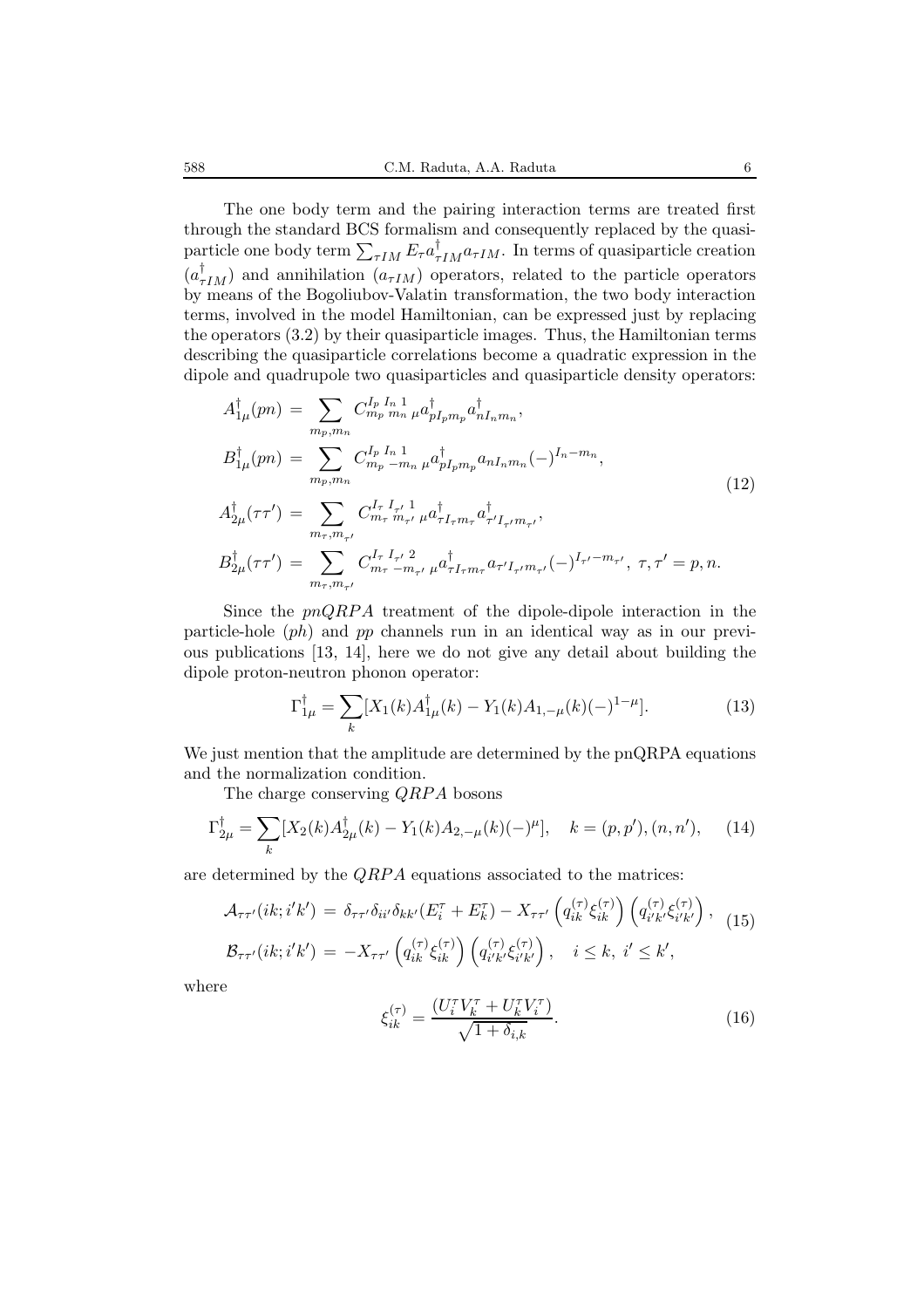The one body term and the pairing interaction terms are treated first through the standard BCS formalism and consequently replaced by the quasiparticle one body term  $\sum_{\tau IM} E_{\tau} a_{\tau IM}^{\dagger} a_{\tau IM}$ . In terms of quasiparticle creation  $(a^{\dagger}_{\tau IM})$  and annihilation  $(a_{\tau IM})$  operators, related to the particle operators<br>by means of the Bogoliuboy-Valatin transformation, the two body interaction by means of the Bogoliubov-Valatin transformation, the two body interaction terms, involved in the model Hamiltonian, can be expressed just by replacing the operators (3.2) by their quasiparticle images. Thus, the Hamiltonian terms describing the quasiparticle correlations become a quadratic expression in the dipole and quadrupole two quasiparticles and quasiparticle density operators:

$$
A_{1\mu}^{\dagger}(pn) = \sum_{m_p, m_n} C_{m_p}^{I_p I_n}{}_{m_n}^{n} \mu a_{pI_p m_p}^{\dagger} a_{nI_n m_n}^{\dagger},
$$
  
\n
$$
B_{1\mu}^{\dagger}(pn) = \sum_{m_p, m_n} C_{m_p}^{I_p I_n}{}_{m_n}^{n} \mu a_{pI_p m_p}^{\dagger} a_{nI_n m_n} (-)^{I_n - m_n},
$$
  
\n
$$
A_{2\mu}^{\dagger}(\tau \tau') = \sum_{m_{\tau}, m_{\tau'}} C_{m_{\tau}}^{I_{\tau} I_{\tau'}}{}_{\mu} a_{\tau I_{\tau} m_{\tau}}^{\dagger} a_{\tau' I_{\tau'} m_{\tau'}},
$$
  
\n
$$
B_{2\mu}^{\dagger}(\tau \tau') = \sum_{m_{\tau}, m_{\tau'}} C_{m_{\tau}}^{I_{\tau} I_{\tau'}}{}_{m_{\tau'}}^2 \mu a_{\tau I_{\tau} m_{\tau}}^{\dagger} a_{\tau' I_{\tau'} m_{\tau'}} (-)^{I_{\tau'} - m_{\tau'}}, \tau, \tau' = p, n.
$$
\n(12)

Since the  $pnQRPA$  treatment of the dipole-dipole interaction in the particle-hole (ph) and pp channels run in an identical way as in our previous publications [13, 14], here we do not give any detail about building the dipole proton-neutron phonon operator:

$$
\Gamma_{1\mu}^{\dagger} = \sum_{k} [X_1(k) A_{1\mu}^{\dagger}(k) - Y_1(k) A_{1,-\mu}(k) (-)^{1-\mu}]. \tag{13}
$$

We just mention that the amplitude are determined by the pnQRPA equations and the normalization condition.

The charge conserving  $QRPA$  bosons

$$
\Gamma_{2\mu}^{\dagger} = \sum_{k} [X_2(k) A_{2\mu}^{\dagger}(k) - Y_1(k) A_{2,-\mu}(k) (-)^{\mu}], \quad k = (p, p'), (n, n'), \quad (14)
$$

are determined by the  $QRPA$  equations associated to the matrices:

$$
\mathcal{A}_{\tau\tau'}(ik; i'k') = \delta_{\tau\tau'}\delta_{ii'}\delta_{kk'}(E_i^{\tau} + E_k^{\tau}) - X_{\tau\tau'}\left(q_{ik}^{(\tau)}\xi_{ik}^{(\tau)}\right)\left(q_{i'k'}^{(\tau)}\xi_{i'k'}^{(\tau)}\right), \tag{15}
$$

$$
\mathcal{B}_{\tau\tau'}(ik;i'k') = -X_{\tau\tau'}\left(q_{ik}^{(\tau)}\xi_{ik}^{(\tau)}\right)\left(q_{i'k'}^{(\tau)}\xi_{i'k'}^{(\tau)}\right), \quad i \leq k, \ i' \leq k',
$$

where

$$
\xi_{ik}^{(\tau)} = \frac{(U_i^{\tau} V_k^{\tau} + U_k^{\tau} V_i^{\tau})}{\sqrt{1 + \delta_{i,k}}}.
$$
\n(16)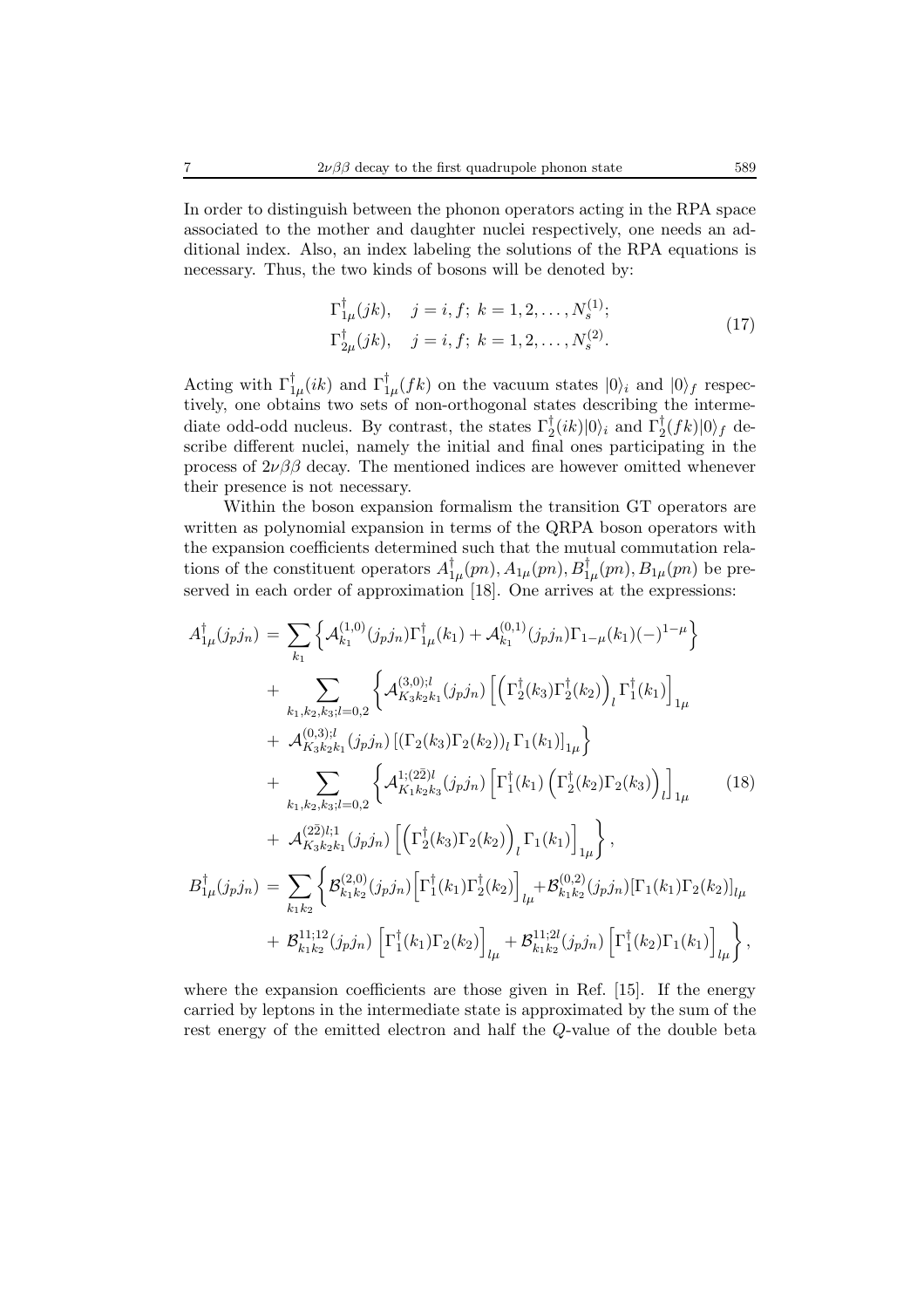In order to distinguish between the phonon operators acting in the RPA space associated to the mother and daughter nuclei respectively, one needs an additional index. Also, an index labeling the solutions of the RPA equations is necessary. Thus, the two kinds of bosons will be denoted by:

$$
\Gamma^{\dagger}_{1\mu}(jk), \quad j = i, f; \ k = 1, 2, \dots, N_s^{(1)}; \n\Gamma^{\dagger}_{2\mu}(jk), \quad j = i, f; \ k = 1, 2, \dots, N_s^{(2)}.
$$
\n(17)

Acting with  $\Gamma_{1\mu}^{\dagger}(ik)$  and  $\Gamma_{1\mu}^{\dagger}(fk)$  on the vacuum states  $|0\rangle_i$  and  $|0\rangle_f$  respectively, one obtains two sets of non-orthogonal states describing the intermediate odd-odd nucleus. By contrast, the states  $\Gamma_2^{\dagger}(ik)|0\rangle_i$  and  $\Gamma_2^{\dagger}(fk)|0\rangle_f$  describe different nuclei, namely the initial and final ones participating in the process of  $2\nu\beta\beta$  decay. The mentioned indices are however omitted whenever their presence is not necessary.

Within the boson expansion formalism the transition GT operators are written as polynomial expansion in terms of the QRPA boson operators with the expansion coefficients determined such that the mutual commutation relations of the constituent operators  $A_{1\mu}^{\dagger}(pn), A_{1\mu}(pn), B_{1\mu}^{\dagger}(pn), B_{1\mu}(pn)$  be pre-<br>served in each order of approximation [18]. One arrives at the expressions: served in each order of approximation [18]. One arrives at the expressions:

$$
A_{1\mu}^{\dagger}(j_{p}j_{n}) = \sum_{k_{1}} \left\{ A_{k_{1}}^{(1,0)}(j_{p}j_{n})\Gamma_{1\mu}^{\dagger}(k_{1}) + A_{k_{1}}^{(0,1)}(j_{p}j_{n})\Gamma_{1-\mu}(k_{1})(-)^{1-\mu} \right\} + \sum_{k_{1},k_{2},k_{3};l=0,2} \left\{ A_{K_{3}k_{2}k_{1}}^{(3,0);l}(j_{p}j_{n}) \left[ \left( \Gamma_{2}^{\dagger}(k_{3})\Gamma_{2}^{\dagger}(k_{2}) \right)_{l} \Gamma_{1}^{\dagger}(k_{1}) \right]_{1\mu} \right. + A_{K_{3}k_{2}k_{1}}^{(0,3);l}(j_{p}j_{n}) \left[ (\Gamma_{2}(k_{3})\Gamma_{2}(k_{2}))_{l} \Gamma_{1}(k_{1}) \right]_{1\mu} \right\} + \sum_{k_{1},k_{2},k_{3};l=0,2} \left\{ A_{K_{1}k_{2}k_{3}}^{1,(2\bar{2})l}(j_{p}j_{n}) \left[ \Gamma_{1}^{\dagger}(k_{1}) \left( \Gamma_{2}^{\dagger}(k_{2})\Gamma_{2}(k_{3}) \right)_{l} \right]_{1\mu} \right. (18) + A_{K_{3}k_{2}k_{1}}^{(2\bar{2})l;1}(j_{p}j_{n}) \left[ \left( \Gamma_{2}^{\dagger}(k_{3})\Gamma_{2}(k_{2}) \right)_{l} \Gamma_{1}(k_{1}) \right]_{1\mu} \right\}, B_{1\mu}^{\dagger}(j_{p}j_{n}) = \sum_{k_{1}k_{2}} \left\{ \mathcal{B}_{k_{1}k_{2}}^{(2,0)}(j_{p}j_{n}) \left[ \Gamma_{1}^{\dagger}(k_{1})\Gamma_{2}^{\dagger}(k_{2}) \right]_{l\mu} + \mathcal{B}_{k_{1}k_{2}}^{(0,2)}(j_{p}j_{n}) \left[ \Gamma_{1}(k_{1})\Gamma_{2}(k_{2}) \right]_{l\mu} \right. + \mathcal{B}_{k_{1}k_{2}}^{11;12}(j_{p}j_{n}) \left[ \Gamma_{1}^{\dagger}(k_{1})\Gamma_{2}(k_{2}) \right]
$$

where the expansion coefficients are those given in Ref. [15]. If the energy carried by leptons in the intermediate state is approximated by the sum of the rest energy of the emitted electron and half the Q-value of the double beta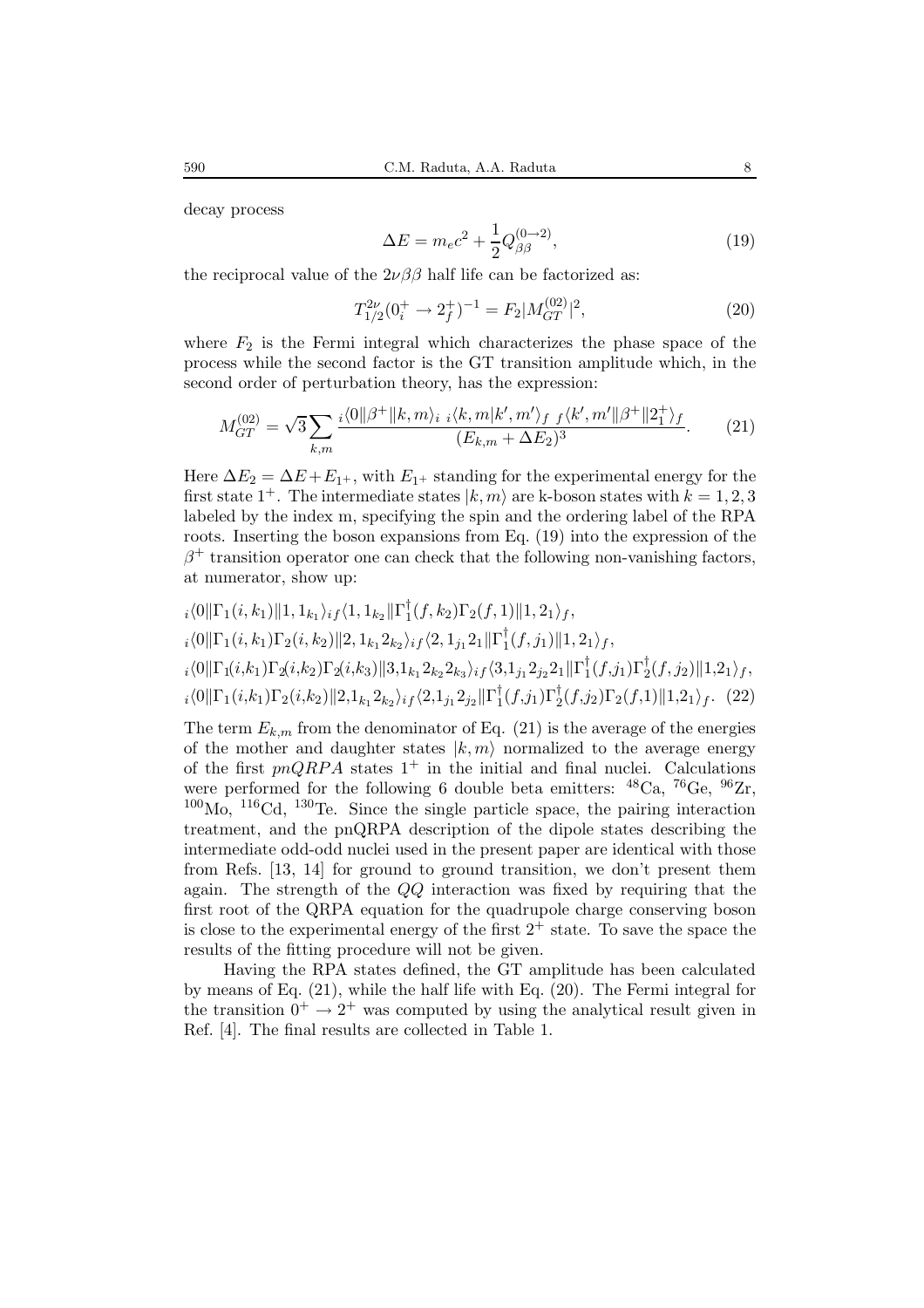decay process

$$
\Delta E = m_e c^2 + \frac{1}{2} Q_{\beta\beta}^{(0\to 2)},\tag{19}
$$

the reciprocal value of the  $2\nu\beta\beta$  half life can be factorized as:

$$
T_{1/2}^{2\nu}(0_i^+ \to 2_f^+)^{-1} = F_2 |M_{GT}^{(02)}|^2, \tag{20}
$$

where  $F_2$  is the Fermi integral which characterizes the phase space of the process while the second factor is the GT transition amplitude which, in the second order of perturbation theory, has the expression:

$$
M_{GT}^{(02)} = \sqrt{3} \sum_{k,m} \frac{i \langle 0 | \beta^+ | k, m \rangle_i}{(E_{k,m} + \Delta E_2)^3} \frac{i \langle k, m | k', m' \rangle_f}{(E_{k,m} + \Delta E_2)^3}.
$$
 (21)

Here  $\Delta E_2 = \Delta E + E_{1+}$ , with  $E_{1+}$  standing for the experimental energy for the first state 1<sup>+</sup>. The intermediate states  $|k,m\rangle$  are k-boson states with  $k = 1, 2, 3$ labeled by the index m, specifying the spin and the ordering label of the RPA roots. Inserting the boson expansions from Eq. (19) into the expression of the  $\beta^+$  transition operator one can check that the following non-vanishing factors, at numerator, show up:

$$
i\langle 0||\Gamma_1(i,k_1)||1,1_{k_1}\rangle_i f\langle 1,1_{k_2}||\Gamma_1^{\dagger}(f,k_2)\Gamma_2(f,1)||1,2_1\rangle_f,
$$
  
\n
$$
i\langle 0||\Gamma_1(i,k_1)\Gamma_2(i,k_2)||2,1_{k_1}2_{k_2}\rangle_i f\langle 2,1_{j_1}2_1||\Gamma_1^{\dagger}(f,j_1)||1,2_1\rangle_f,
$$
  
\n
$$
i\langle 0||\Gamma_1(i,k_1)\Gamma_2(i,k_2)\Gamma_2(i,k_3)||3,1_{k_1}2_{k_2}2_{k_3}\rangle_i f\langle 3,1_{j_1}2_{j_2}2_1||\Gamma_1^{\dagger}(f,j_1)\Gamma_2^{\dagger}(f,j_2)||1,2_1\rangle_f,
$$
  
\n
$$
i\langle 0||\Gamma_1(i,k_1)\Gamma_2(i,k_2)||2,1_{k_1}2_{k_2}\rangle_i f\langle 2,1_{j_1}2_{j_2}||\Gamma_1^{\dagger}(f,j_1)\Gamma_2^{\dagger}(f,j_2)\Gamma_2(f,1)||1,2_1\rangle_f.
$$
 (22)

The term  $E_{k,m}$  from the denominator of Eq. (21) is the average of the energies of the mother and daughter states  $|k,m\rangle$  normalized to the average energy of the first  $pnQRPA$  states  $1^+$  in the initial and final nuclei. Calculations were performed for the following 6 double beta emitters:  $^{48}Ca$ ,  $^{76}Ge$ ,  $^{96}Zr$ ,  $100$ Mo,  $116$ Cd,  $130$ Te. Since the single particle space, the pairing interaction treatment, and the pnQRPA description of the dipole states describing the intermediate odd-odd nuclei used in the present paper are identical with those from Refs. [13, 14] for ground to ground transition, we don't present them again. The strength of the QQ interaction was fixed by requiring that the first root of the QRPA equation for the quadrupole charge conserving boson is close to the experimental energy of the first  $2^+$  state. To save the space the results of the fitting procedure will not be given.

Having the RPA states defined, the GT amplitude has been calculated by means of Eq. (21), while the half life with Eq. (20). The Fermi integral for the transition  $0^+ \rightarrow 2^+$  was computed by using the analytical result given in Ref. [4]. The final results are collected in Table 1.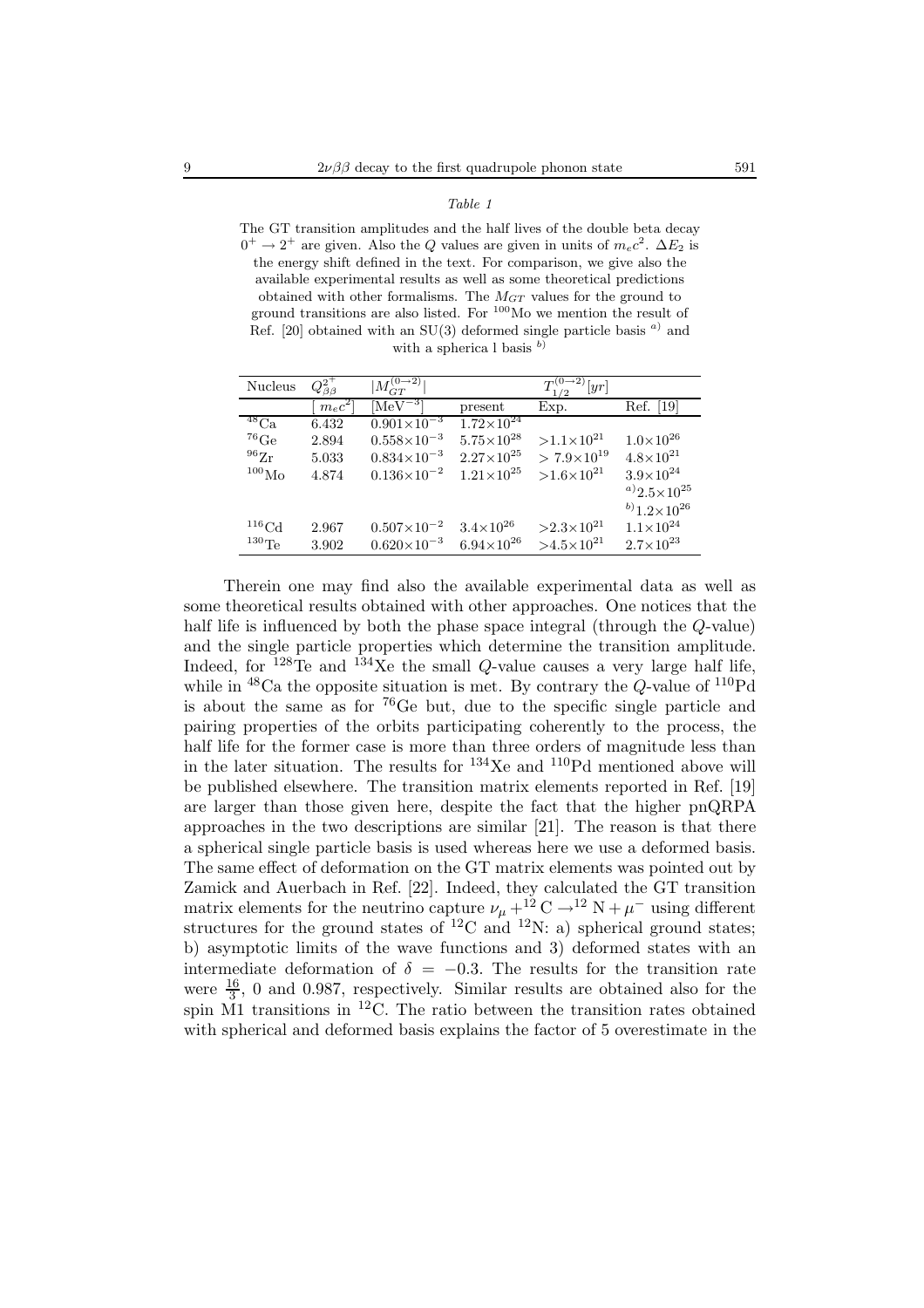| ,<br>,<br>.,<br>× |  |
|-------------------|--|
|-------------------|--|

The GT transition amplitudes and the half lives of the double beta decay  $0^+ \rightarrow 2^+$  are given. Also the Q values are given in units of  $m_e c^2$ .  $\Delta E_2$  is the energy shift defined in the text. For comparison, we give also the available experimental results as well as some theoretical predictions obtained with other formalisms. The  $M_{GT}$  values for the ground to ground transitions are also listed. For <sup>100</sup>Mo we mention the result of Ref. [20] obtained with an  $SU(3)$  deformed single particle basis  $a)$  and with a spherica l basis  $\binom{b}{b}$ 

| Nucleus         | $Q_{\beta\beta}^{2^+}$ | $M_{GT}^{(0\rightarrow2)}$   |                       | $T^{(0\rightarrow 2)}$<br>[yr]<br>1/2 |                                    |
|-----------------|------------------------|------------------------------|-----------------------|---------------------------------------|------------------------------------|
|                 | $ m_ec^2 $             | $\overline{\text{MeV}^{-3}}$ | present               | Exp.                                  | Ref. [19]                          |
| $^{48}$ Ca      | 6.432                  | $0.901\times10^{-3}$         | $1.72\times10^{24}$   |                                       |                                    |
| $^{76}$ Ge      | 2.894                  | $0.558\times10^{-3}$         | $5.75\times10^{28}$   | $>1.1\times10^{21}$                   | $1.0 \times 10^{26}$               |
| $^{96}Zr$       | 5.033                  | $0.834\times10^{-3}$         | $2.27\times10^{25}$   | $> 7.9 \times 10^{19}$                | $4.8\times10^{21}$                 |
| $^{100}\rm{Mo}$ | 4.874                  | $0.136\times10^{-2}$         | $1.21 \times 10^{25}$ | $>1.6\times10^{21}$                   | $3.9 \times 10^{24}$               |
|                 |                        |                              |                       |                                       | $a)$ 2.5 $\times$ 10 <sup>25</sup> |
|                 |                        |                              |                       |                                       | $^{b)}1.2\times10^{26}$            |
| $116 \text{Cd}$ | 2.967                  | $0.507\times10^{-2}$         | $3.4\times10^{26}$    | $>2.3\times10^{21}$                   | $1.1 \times 10^{24}$               |
| $^{130}$ Te     | 3.902                  | $0.620\times10^{-3}$         | $6.94\times10^{26}$   | $>4.5\times10^{21}$                   | $2.7\times10^{23}$                 |

Therein one may find also the available experimental data as well as some theoretical results obtained with other approaches. One notices that the half life is influenced by both the phase space integral (through the Q-value) and the single particle properties which determine the transition amplitude. Indeed, for <sup>128</sup>Te and <sup>134</sup>Xe the small *Q*-value causes a very large half life, while in  $^{48}$ Ca the opposite situation is met. By contrary the Q-value of  $^{110}Pd$ is about the same as for  ${}^{76}Ge$  but, due to the specific single particle and pairing properties of the orbits participating coherently to the process, the half life for the former case is more than three orders of magnitude less than in the later situation. The results for  $^{134}$ Xe and  $^{110}$ Pd mentioned above will be published elsewhere. The transition matrix elements reported in Ref. [19] are larger than those given here, despite the fact that the higher pnQRPA approaches in the two descriptions are similar [21]. The reason is that there a spherical single particle basis is used whereas here we use a deformed basis. The same effect of deformation on the GT matrix elements was pointed out by Zamick and Auerbach in Ref. [22]. Indeed, they calculated the GT transition matrix elements for the neutrino capture  $\nu_{\mu} + {}^{12}C \rightarrow {}^{12}N + \mu^-$  using different structures for the ground states of <sup>12</sup>C and <sup>12</sup>N: a) spherical ground states; b) asymptotic limits of the wave functions and 3) deformed states with an intermediate deformation of  $\delta$  = −0.3. The results for the transition rate were  $\frac{16}{3}$ , 0 and 0.987, respectively. Similar results are obtained also for the spin  $\tilde{M}$ 1 transitions in <sup>12</sup>C. The ratio between the transition rates obtained with spherical and deformed basis explains the factor of 5 overestimate in the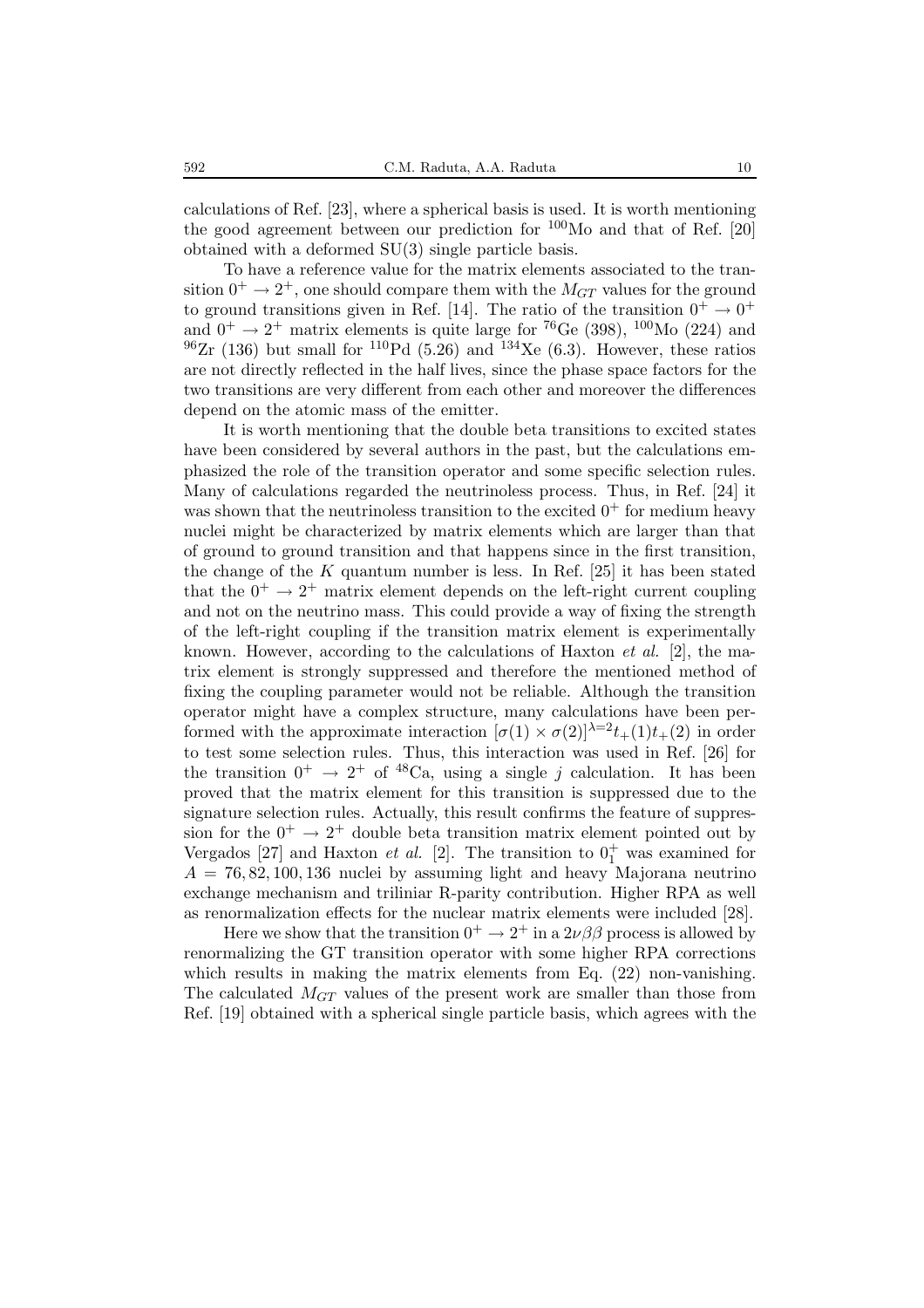calculations of Ref. [23], where a spherical basis is used. It is worth mentioning the good agreement between our prediction for <sup>100</sup>Mo and that of Ref. [20] obtained with a deformed SU(3) single particle basis.

To have a reference value for the matrix elements associated to the transition  $0^+ \rightarrow 2^+$ , one should compare them with the  $M_{GT}$  values for the ground to ground transitions given in Ref. [14]. The ratio of the transition  $0^+ \rightarrow 0^+$ and  $0^+ \rightarrow 2^+$  matrix elements is quite large for <sup>76</sup>Ge (398), <sup>100</sup>Mo (224) and  $96Zr$  (136) but small for  $110Pd$  (5.26) and  $134Xe$  (6.3). However, these ratios are not directly reflected in the half lives, since the phase space factors for the two transitions are very different from each other and moreover the differences depend on the atomic mass of the emitter.

It is worth mentioning that the double beta transitions to excited states have been considered by several authors in the past, but the calculations emphasized the role of the transition operator and some specific selection rules. Many of calculations regarded the neutrinoless process. Thus, in Ref. [24] it was shown that the neutrinoless transition to the excited  $0^+$  for medium heavy nuclei might be characterized by matrix elements which are larger than that of ground to ground transition and that happens since in the first transition, the change of the K quantum number is less. In Ref.  $[25]$  it has been stated that the  $0^+ \rightarrow 2^+$  matrix element depends on the left-right current coupling and not on the neutrino mass. This could provide a way of fixing the strength of the left-right coupling if the transition matrix element is experimentally known. However, according to the calculations of Haxton *et al.* [2], the matrix element is strongly suppressed and therefore the mentioned method of fixing the coupling parameter would not be reliable. Although the transition operator might have a complex structure, many calculations have been performed with the approximate interaction  $[\sigma(1) \times \sigma(2)]^{\lambda=2}t_{+}(1)t_{+}(2)$  in order to test some selection rules. Thus, this interaction was used in Ref. [26] for the transition  $0^+ \rightarrow 2^+$  of <sup>48</sup>Ca, using a single j calculation. It has been proved that the matrix element for this transition is suppressed due to the signature selection rules. Actually, this result confirms the feature of suppression for the  $0^+ \rightarrow 2^+$  double beta transition matrix element pointed out by Vergados [27] and Haxton *et al.* [2]. The transition to  $0<sub>1</sub><sup>+</sup>$  was examined for  $A = 76, 82, 100, 136$  nuclei by assuming light and heavy Majorana neutrino exchange mechanism and triliniar R-parity contribution. Higher RPA as well as renormalization effects for the nuclear matrix elements were included [28].

Here we show that the transition  $0^+ \rightarrow 2^+$  in a  $2\nu\beta\beta$  process is allowed by renormalizing the GT transition operator with some higher RPA corrections which results in making the matrix elements from Eq.  $(22)$  non-vanishing. The calculated  $M_{GT}$  values of the present work are smaller than those from Ref. [19] obtained with a spherical single particle basis, which agrees with the